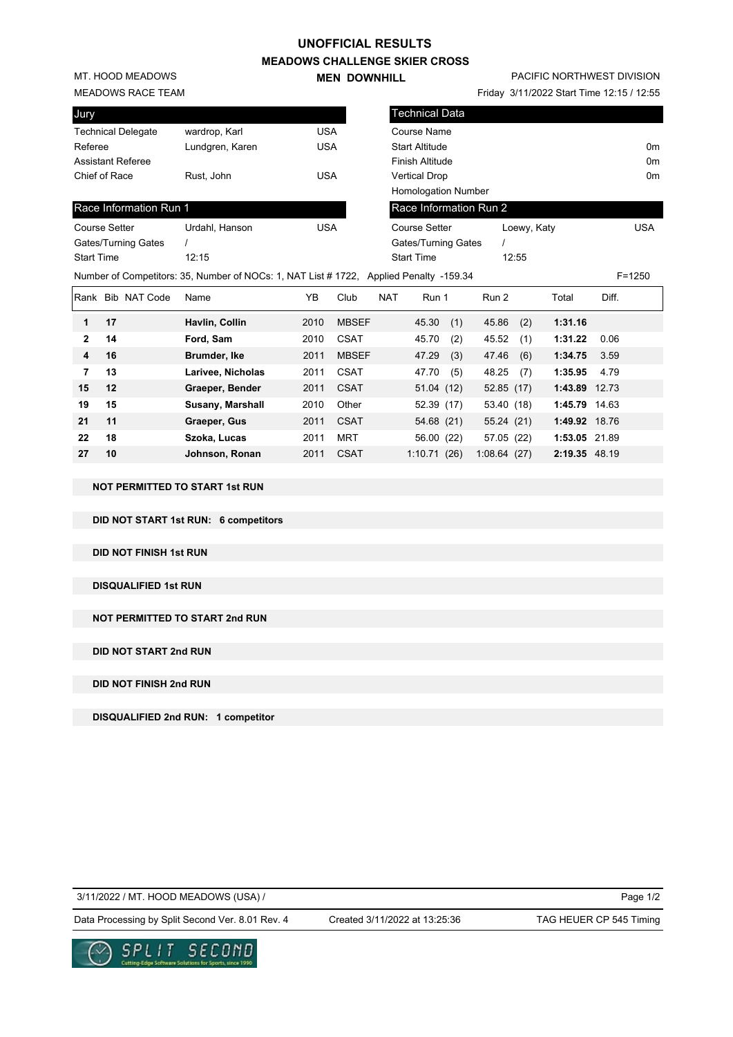### **UNOFFICIAL RESULTS**

**MEADOWS CHALLENGE SKIER CROSS MEN DOWNHILL** 

**27 10 Johnson, Ronan** 2011 CSAT 1:10.71 (26) 1:08.64 (27) **2:19.35** 48.19

MT. HOOD MEADOWS

### MEADOWS RACE TEAM

| Jury                      |                 |     |
|---------------------------|-----------------|-----|
| <b>Technical Delegate</b> | wardrop, Karl   | USA |
| Referee                   | Lundgren, Karen | USA |
| Assistant Referee         |                 |     |
| Chief of Race             | Rust, John      | USA |
|                           |                 |     |

## Race Information F

| <b>Course Setter</b> | Urdahl, Hanson                                            | USA |
|----------------------|-----------------------------------------------------------|-----|
| Gates/Turning Gates  |                                                           |     |
| <b>Start Time</b>    | 12.15                                                     |     |
|                      | Number of Competitors: 35, Number of NOCs: 1, NAT List #1 |     |

# PACIFIC NORTHWEST DIVISION

Friday 3/11/2022 Start Time 12:15 / 12:55

| Jury                      |                                                                                        |            |              | Technical Data         |            |            |             |               |       |                |
|---------------------------|----------------------------------------------------------------------------------------|------------|--------------|------------------------|------------|------------|-------------|---------------|-------|----------------|
| <b>Technical Delegate</b> | wardrop, Karl                                                                          | <b>USA</b> |              | <b>Course Name</b>     |            |            |             |               |       |                |
| Referee                   | Lundgren, Karen                                                                        | <b>USA</b> |              | <b>Start Altitude</b>  |            |            |             |               |       | 0 <sub>m</sub> |
| Assistant Referee         |                                                                                        |            |              | <b>Finish Altitude</b> |            |            |             |               |       | 0 <sub>m</sub> |
| Chief of Race             | Rust, John                                                                             | <b>USA</b> |              | <b>Vertical Drop</b>   |            |            |             |               |       | 0 <sub>m</sub> |
|                           |                                                                                        |            |              | Homologation Number    |            |            |             |               |       |                |
| Race Information Run 1    |                                                                                        |            |              | Race Information Run 2 |            |            |             |               |       |                |
| <b>Course Setter</b>      | Urdahl, Hanson                                                                         | <b>USA</b> |              | <b>Course Setter</b>   |            |            | Loewy, Katy |               |       | <b>USA</b>     |
| Gates/Turning Gates       |                                                                                        |            |              | Gates/Turning Gates    |            |            |             |               |       |                |
| <b>Start Time</b>         | 12:15                                                                                  |            |              | <b>Start Time</b>      |            | 12:55      |             |               |       |                |
|                           | Number of Competitors: 35, Number of NOCs: 1, NAT List # 1722, Applied Penalty -159.34 |            |              |                        |            |            |             |               |       | $F = 1250$     |
| Rank Bib NAT Code         | Name                                                                                   | YB         | Club         | <b>NAT</b><br>Run 1    |            | Run 2      |             | Total         | Diff. |                |
| 17<br>1                   | Havlin, Collin                                                                         | 2010       | <b>MBSEF</b> | 45.30                  | (1)        | 45.86      | (2)         | 1:31.16       |       |                |
| $\mathbf{2}$<br>14        | Ford, Sam                                                                              | 2010       | <b>CSAT</b>  | 45.70                  | (2)        | 45.52      | (1)         | 1:31.22       | 0.06  |                |
| 16<br>4                   | Brumder, Ike                                                                           | 2011       | <b>MBSEF</b> | 47.29                  | (3)        | 47.46      | (6)         | 1:34.75       | 3.59  |                |
| 13<br>7                   | Larivee, Nicholas                                                                      | 2011       | <b>CSAT</b>  | 47.70                  | (5)        | 48.25      | (7)         | 1:35.95       | 4.79  |                |
| 12<br>15                  | Graeper, Bender                                                                        | 2011       | <b>CSAT</b>  |                        | 51.04(12)  | 52.85 (17) |             | 1:43.89       | 12.73 |                |
| 15<br>19                  | Susany, Marshall                                                                       | 2010       | Other        |                        | 52.39 (17) | 53.40 (18) |             | 1:45.79       | 14.63 |                |
| 11<br>21                  |                                                                                        |            |              |                        |            |            |             |               |       |                |
|                           | Graeper, Gus                                                                           | 2011       | <b>CSAT</b>  |                        | 54.68 (21) | 55.24(21)  |             | 1:49.92 18.76 |       |                |

### **NOT PERMITTED TO START 1st RUN**

**DID NOT START 1st RUN: 6 competitors**

**DID NOT FINISH 1st RUN**

**DISQUALIFIED 1st RUN**

**NOT PERMITTED TO START 2nd RUN**

**DID NOT START 2nd RUN**

**DID NOT FINISH 2nd RUN**

**DISQUALIFIED 2nd RUN: 1 competitor**

3/11/2022 / MT. HOOD MEADOWS (USA) /

Created 3/11/2022 at 13:25:36

Data Processing by Split Second Ver. 8.01 Rev. 4 Created 3/11/2022 at 13:25:36 TAG HEUER CP 545 Timing

Page 1/2